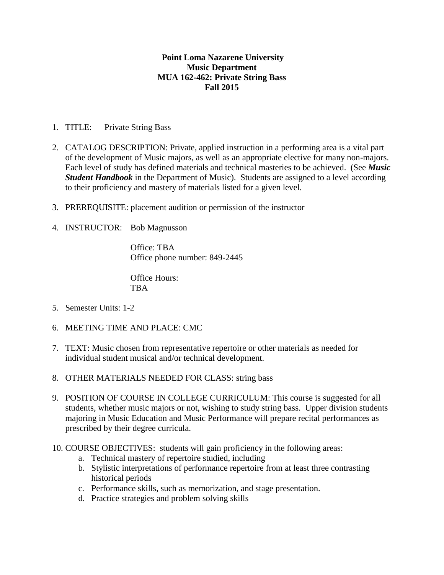## **Point Loma Nazarene University Music Department MUA 162-462: Private String Bass Fall 2015**

- 1. TITLE: Private String Bass
- 2. CATALOG DESCRIPTION: Private, applied instruction in a performing area is a vital part of the development of Music majors, as well as an appropriate elective for many non-majors. Each level of study has defined materials and technical masteries to be achieved. (See *Music Student Handbook* in the Department of Music). Students are assigned to a level according to their proficiency and mastery of materials listed for a given level.
- 3. PREREQUISITE: placement audition or permission of the instructor
- 4. INSTRUCTOR: Bob Magnusson

Office: TBA Office phone number: 849-2445

Office Hours: TBA

- 5. Semester Units: 1-2
- 6. MEETING TIME AND PLACE: CMC
- 7. TEXT: Music chosen from representative repertoire or other materials as needed for individual student musical and/or technical development.
- 8. OTHER MATERIALS NEEDED FOR CLASS: string bass
- 9. POSITION OF COURSE IN COLLEGE CURRICULUM: This course is suggested for all students, whether music majors or not, wishing to study string bass. Upper division students majoring in Music Education and Music Performance will prepare recital performances as prescribed by their degree curricula.
- 10. COURSE OBJECTIVES: students will gain proficiency in the following areas:
	- a. Technical mastery of repertoire studied, including
	- b. Stylistic interpretations of performance repertoire from at least three contrasting historical periods
	- c. Performance skills, such as memorization, and stage presentation.
	- d. Practice strategies and problem solving skills